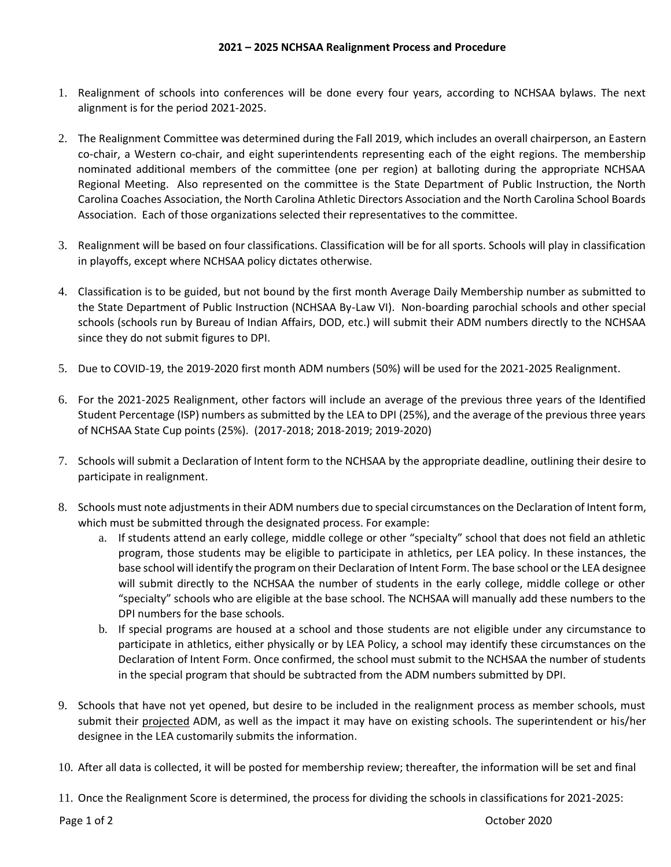- 1. Realignment of schools into conferences will be done every four years, according to NCHSAA bylaws. The next alignment is for the period 2021-2025.
- 2. The Realignment Committee was determined during the Fall 2019, which includes an overall chairperson, an Eastern co-chair, a Western co-chair, and eight superintendents representing each of the eight regions. The membership nominated additional members of the committee (one per region) at balloting during the appropriate NCHSAA Regional Meeting. Also represented on the committee is the State Department of Public Instruction, the North Carolina Coaches Association, the North Carolina Athletic Directors Association and the North Carolina School Boards Association. Each of those organizations selected their representatives to the committee.
- 3. Realignment will be based on four classifications. Classification will be for all sports. Schools will play in classification in playoffs, except where NCHSAA policy dictates otherwise.
- 4. Classification is to be guided, but not bound by the first month Average Daily Membership number as submitted to the State Department of Public Instruction (NCHSAA By-Law VI). Non-boarding parochial schools and other special schools (schools run by Bureau of Indian Affairs, DOD, etc.) will submit their ADM numbers directly to the NCHSAA since they do not submit figures to DPI.
- 5. Due to COVID-19, the 2019-2020 first month ADM numbers (50%) will be used for the 2021-2025 Realignment.
- 6. For the 2021-2025 Realignment, other factors will include an average of the previous three years of the Identified Student Percentage (ISP) numbers as submitted by the LEA to DPI (25%), and the average of the previous three years of NCHSAA State Cup points (25%). (2017-2018; 2018-2019; 2019-2020)
- 7. Schools will submit a Declaration of Intent form to the NCHSAA by the appropriate deadline, outlining their desire to participate in realignment.
- 8. Schools must note adjustments in their ADM numbers due to special circumstances on the Declaration of Intent form, which must be submitted through the designated process. For example:
	- a. If students attend an early college, middle college or other "specialty" school that does not field an athletic program, those students may be eligible to participate in athletics, per LEA policy. In these instances, the base school will identify the program on their Declaration of Intent Form. The base school or the LEA designee will submit directly to the NCHSAA the number of students in the early college, middle college or other "specialty" schools who are eligible at the base school. The NCHSAA will manually add these numbers to the DPI numbers for the base schools.
	- b. If special programs are housed at a school and those students are not eligible under any circumstance to participate in athletics, either physically or by LEA Policy, a school may identify these circumstances on the Declaration of Intent Form. Once confirmed, the school must submit to the NCHSAA the number of students in the special program that should be subtracted from the ADM numbers submitted by DPI.
- 9. Schools that have not yet opened, but desire to be included in the realignment process as member schools, must submit their projected ADM, as well as the impact it may have on existing schools. The superintendent or his/her designee in the LEA customarily submits the information.
- 10. After all data is collected, it will be posted for membership review; thereafter, the information will be set and final

11. Once the Realignment Score is determined, the process for dividing the schools in classifications for 2021-2025: